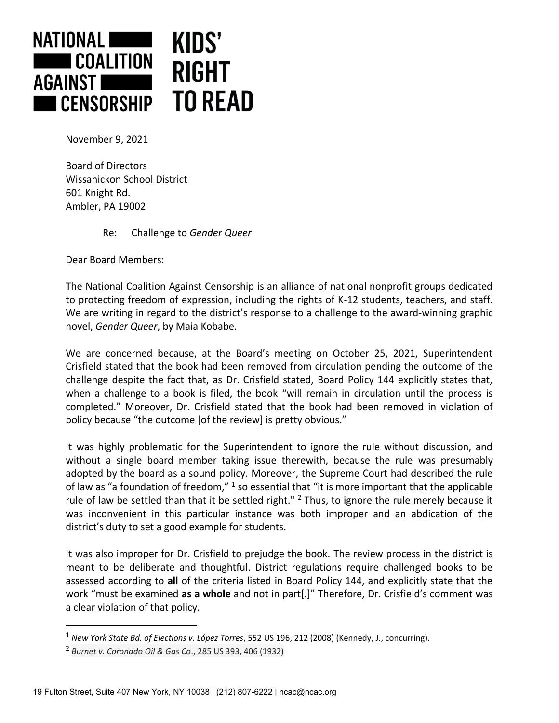

November 9, 2021

Board of Directors Wissahickon School District 601 Knight Rd. Ambler, PA 19002

Re: Challenge to *Gender Queer*

Dear Board Members:

The National Coalition Against Censorship is an alliance of national nonprofit groups dedicated to protecting freedom of expression, including the rights of K-12 students, teachers, and staff. We are writing in regard to the district's response to a challenge to the award-winning graphic novel, *Gender Queer*, by Maia Kobabe.

We are concerned because, at the Board's meeting on October 25, 2021, Superintendent Crisfield stated that the book had been removed from circulation pending the outcome of the challenge despite the fact that, as Dr. Crisfield stated, Board Policy 144 explicitly states that, when a challenge to a book is filed, the book "will remain in circulation until the process is completed." Moreover, Dr. Crisfield stated that the book had been removed in violation of policy because "the outcome [of the review] is pretty obvious."

It was highly problematic for the Superintendent to ignore the rule without discussion, and without a single board member taking issue therewith, because the rule was presumably adopted by the board as a sound policy. Moreover, the Supreme Court had described the rule of law as "a foundation of freedom," <sup>1</sup> so essential that "it is more important that the applicable rule of law be settled than that it be settled right."  $2$  Thus, to ignore the rule merely because it was inconvenient in this particular instance was both improper and an abdication of the district's duty to set a good example for students.

It was also improper for Dr. Crisfield to prejudge the book. The review process in the district is meant to be deliberate and thoughtful. District regulations require challenged books to be assessed according to **all** of the criteria listed in Board Policy 144, and explicitly state that the work "must be examined **as a whole** and not in part[.]" Therefore, Dr. Crisfield's comment was a clear violation of that policy.

<sup>1</sup> *New York State Bd. of Elections v. López Torres*, 552 US 196, 212 (2008) (Kennedy, J., concurring).

<sup>2</sup> *Burnet v. Coronado Oil & Gas Co*., 285 US 393, 406 (1932)